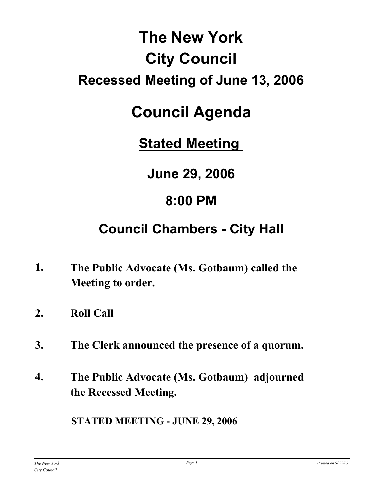# **The New York City Council Recessed Meeting of June 13, 2006**

# **Council Agenda**

**Stated Meeting** 

**June 29, 2006**

## **8:00 PM**

## **Council Chambers - City Hall**

- **The Public Advocate (Ms. Gotbaum) called the Meeting to order. 1.**
- **2. Roll Call**
- **3. The Clerk announced the presence of a quorum.**
- **The Public Advocate (Ms. Gotbaum) adjourned the Recessed Meeting. 4.**

**STATED MEETING - JUNE 29, 2006**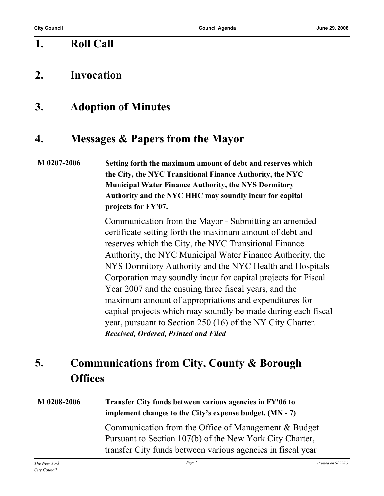## **1. Roll Call**

## **2. Invocation**

## **3. Adoption of Minutes**

## **4. Messages & Papers from the Mayor**

**M 0207-2006 Setting forth the maximum amount of debt and reserves which the City, the NYC Transitional Finance Authority, the NYC Municipal Water Finance Authority, the NYS Dormitory Authority and the NYC HHC may soundly incur for capital projects for FY'07.**

> Communication from the Mayor - Submitting an amended certificate setting forth the maximum amount of debt and reserves which the City, the NYC Transitional Finance Authority, the NYC Municipal Water Finance Authority, the NYS Dormitory Authority and the NYC Health and Hospitals Corporation may soundly incur for capital projects for Fiscal Year 2007 and the ensuing three fiscal years, and the maximum amount of appropriations and expenditures for capital projects which may soundly be made during each fiscal year, pursuant to Section 250 (16) of the NY City Charter. *Received, Ordered, Printed and Filed*

#### **Communications from City, County & Borough Offices 5.**

#### **M 0208-2006 Transfer City funds between various agencies in FY'06 to implement changes to the City's expense budget. (MN - 7)**

Communication from the Office of Management & Budget – Pursuant to Section 107(b) of the New York City Charter, transfer City funds between various agencies in fiscal year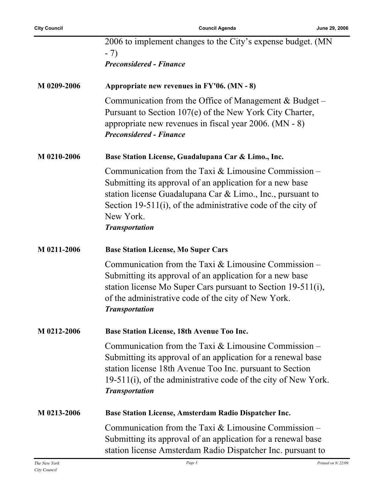|             | 2006 to implement changes to the City's expense budget. (MN<br>$-7)$                                                                                                                                                                                                                      |
|-------------|-------------------------------------------------------------------------------------------------------------------------------------------------------------------------------------------------------------------------------------------------------------------------------------------|
|             | <b>Preconsidered - Finance</b>                                                                                                                                                                                                                                                            |
| M 0209-2006 | Appropriate new revenues in $FY'06. (MN - 8)$                                                                                                                                                                                                                                             |
|             | Communication from the Office of Management $& Budget-$<br>Pursuant to Section 107(e) of the New York City Charter,<br>appropriate new revenues in fiscal year $2006$ . (MN - 8)<br><b>Preconsidered - Finance</b>                                                                        |
| M 0210-2006 | Base Station License, Guadalupana Car & Limo., Inc.                                                                                                                                                                                                                                       |
|             | Communication from the Taxi $&$ Limousine Commission –<br>Submitting its approval of an application for a new base<br>station license Guadalupana Car $\&$ Limo., Inc., pursuant to<br>Section 19-511(i), of the administrative code of the city of<br>New York.<br><b>Transportation</b> |
| M 0211-2006 | <b>Base Station License, Mo Super Cars</b>                                                                                                                                                                                                                                                |
|             | Communication from the Taxi $&$ Limousine Commission –<br>Submitting its approval of an application for a new base<br>station license Mo Super Cars pursuant to Section 19-511(i),<br>of the administrative code of the city of New York.<br><b>Transportation</b>                        |
| M 0212-2006 | <b>Base Station License, 18th Avenue Too Inc.</b>                                                                                                                                                                                                                                         |
|             | Communication from the Taxi $&$ Limousine Commission –<br>Submitting its approval of an application for a renewal base<br>station license 18th Avenue Too Inc. pursuant to Section<br>19-511(i), of the administrative code of the city of New York.<br><b>Transportation</b>             |
| M 0213-2006 | <b>Base Station License, Amsterdam Radio Dispatcher Inc.</b>                                                                                                                                                                                                                              |
|             | Communication from the Taxi $&$ Limousine Commission –<br>Submitting its approval of an application for a renewal base<br>station license Amsterdam Radio Dispatcher Inc. pursuant to                                                                                                     |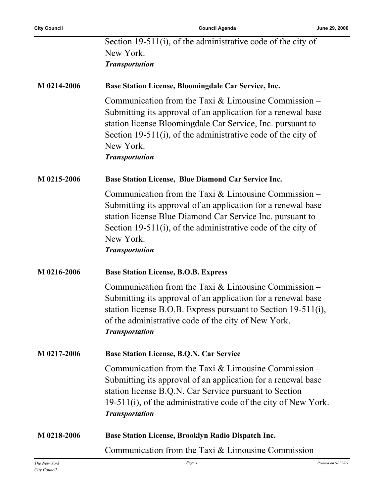|             | Section 19-511(i), of the administrative code of the city of<br>New York.<br><b>Transportation</b>                                                                                                                                                                                         |
|-------------|--------------------------------------------------------------------------------------------------------------------------------------------------------------------------------------------------------------------------------------------------------------------------------------------|
| M 0214-2006 | Base Station License, Bloomingdale Car Service, Inc.                                                                                                                                                                                                                                       |
|             | Communication from the Taxi $&$ Limousine Commission –<br>Submitting its approval of an application for a renewal base<br>station license Bloomingdale Car Service, Inc. pursuant to<br>Section 19-511(i), of the administrative code of the city of<br>New York.<br><b>Transportation</b> |
| M 0215-2006 | Base Station License, Blue Diamond Car Service Inc.                                                                                                                                                                                                                                        |
|             | Communication from the Taxi $&$ Limousine Commission –<br>Submitting its approval of an application for a renewal base<br>station license Blue Diamond Car Service Inc. pursuant to<br>Section 19-511(i), of the administrative code of the city of<br>New York.<br><b>Transportation</b>  |
| M 0216-2006 | <b>Base Station License, B.O.B. Express</b>                                                                                                                                                                                                                                                |
|             | Communication from the Taxi $&$ Limousine Commission –<br>Submitting its approval of an application for a renewal base<br>station license B.O.B. Express pursuant to Section 19-511(i),<br>of the administrative code of the city of New York.<br><b>Transportation</b>                    |
| M 0217-2006 | <b>Base Station License, B.Q.N. Car Service</b>                                                                                                                                                                                                                                            |
|             | Communication from the Taxi $&$ Limousine Commission –<br>Submitting its approval of an application for a renewal base<br>station license B.Q.N. Car Service pursuant to Section<br>$19-511(i)$ , of the administrative code of the city of New York.<br><b>Transportation</b>             |
| M 0218-2006 | Base Station License, Brooklyn Radio Dispatch Inc.                                                                                                                                                                                                                                         |
|             | Communication from the Taxi $&$ Limousine Commission –                                                                                                                                                                                                                                     |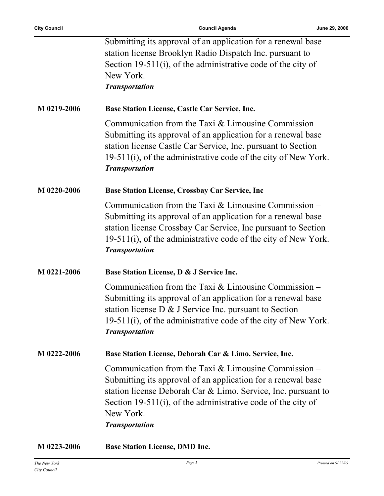ř.

|             | Submitting its approval of an application for a renewal base<br>station license Brooklyn Radio Dispatch Inc. pursuant to<br>Section 19-511(i), of the administrative code of the city of<br>New York.<br><b>Transportation</b>                                                                |
|-------------|-----------------------------------------------------------------------------------------------------------------------------------------------------------------------------------------------------------------------------------------------------------------------------------------------|
| M 0219-2006 | <b>Base Station License, Castle Car Service, Inc.</b>                                                                                                                                                                                                                                         |
|             | Communication from the Taxi $&$ Limousine Commission –<br>Submitting its approval of an application for a renewal base<br>station license Castle Car Service, Inc. pursuant to Section<br>19-511(i), of the administrative code of the city of New York.<br><b>Transportation</b>             |
| M 0220-2006 | <b>Base Station License, Crossbay Car Service, Inc.</b>                                                                                                                                                                                                                                       |
|             | Communication from the Taxi $&$ Limousine Commission –<br>Submitting its approval of an application for a renewal base<br>station license Crossbay Car Service, Inc pursuant to Section<br>19-511(i), of the administrative code of the city of New York.<br><b>Transportation</b>            |
| M 0221-2006 | Base Station License, D & J Service Inc.                                                                                                                                                                                                                                                      |
|             | Communication from the Taxi $&$ Limousine Commission –<br>Submitting its approval of an application for a renewal base<br>station license $D \& J$ Service Inc. pursuant to Section<br>19-511(i), of the administrative code of the city of New York.<br><b>Transportation</b>                |
| M 0222-2006 | Base Station License, Deborah Car & Limo. Service, Inc.                                                                                                                                                                                                                                       |
|             | Communication from the Taxi $&$ Limousine Commission –<br>Submitting its approval of an application for a renewal base<br>station license Deborah Car & Limo. Service, Inc. pursuant to<br>Section 19-511(i), of the administrative code of the city of<br>New York.<br><b>Transportation</b> |
| M 0223-2006 | <b>Base Station License, DMD Inc.</b>                                                                                                                                                                                                                                                         |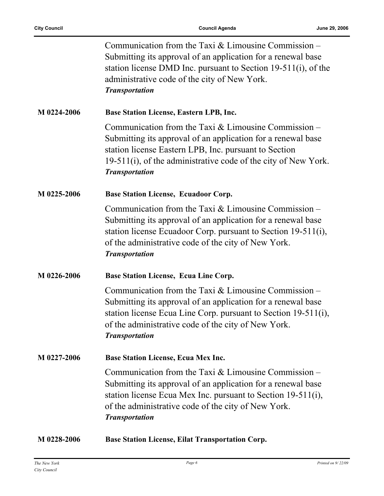|             | Communication from the Taxi $&$ Limousine Commission –<br>Submitting its approval of an application for a renewal base<br>station license DMD Inc. pursuant to Section 19-511(i), of the<br>administrative code of the city of New York.<br><b>Transportation</b>          |
|-------------|----------------------------------------------------------------------------------------------------------------------------------------------------------------------------------------------------------------------------------------------------------------------------|
| M 0224-2006 | <b>Base Station License, Eastern LPB, Inc.</b>                                                                                                                                                                                                                             |
|             | Communication from the Taxi $&$ Limousine Commission –<br>Submitting its approval of an application for a renewal base<br>station license Eastern LPB, Inc. pursuant to Section<br>19-511(i), of the administrative code of the city of New York.<br><b>Transportation</b> |
| M 0225-2006 | <b>Base Station License, Ecuadoor Corp.</b>                                                                                                                                                                                                                                |
|             | Communication from the Taxi $&$ Limousine Commission –<br>Submitting its approval of an application for a renewal base<br>station license Ecuadoor Corp. pursuant to Section 19-511(i),<br>of the administrative code of the city of New York.<br><b>Transportation</b>    |
| M 0226-2006 | <b>Base Station License, Ecua Line Corp.</b>                                                                                                                                                                                                                               |
|             | Communication from the Taxi $&$ Limousine Commission –<br>Submitting its approval of an application for a renewal base<br>station license Ecua Line Corp. pursuant to Section 19-511(i),<br>of the administrative code of the city of New York.<br><b>Transportation</b>   |
| M 0227-2006 | Base Station License, Ecua Mex Inc.                                                                                                                                                                                                                                        |
|             | Communication from the Taxi $&$ Limousine Commission –<br>Submitting its approval of an application for a renewal base<br>station license Ecua Mex Inc. pursuant to Section 19-511(i),<br>of the administrative code of the city of New York.<br><b>Transportation</b>     |
| M 0228-2006 | <b>Base Station License, Eilat Transportation Corp.</b>                                                                                                                                                                                                                    |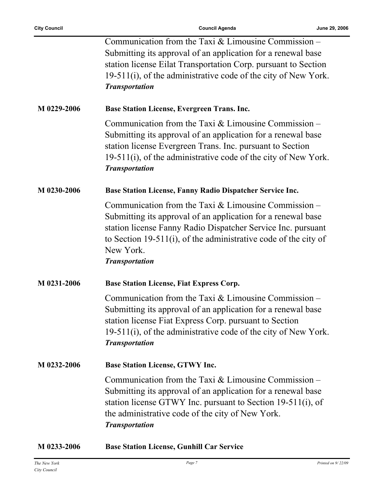$\overline{a}$ 

| M 0233-2006 | <b>Base Station License, Gunhill Car Service</b>                                                                                                                                                                                                                                                |
|-------------|-------------------------------------------------------------------------------------------------------------------------------------------------------------------------------------------------------------------------------------------------------------------------------------------------|
|             | Communication from the Taxi $&$ Limousine Commission –<br>Submitting its approval of an application for a renewal base<br>station license GTWY Inc. pursuant to Section 19-511(i), of<br>the administrative code of the city of New York.<br><b>Transportation</b>                              |
| M 0232-2006 | <b>Base Station License, GTWY Inc.</b>                                                                                                                                                                                                                                                          |
|             | Communication from the Taxi $&$ Limousine Commission –<br>Submitting its approval of an application for a renewal base<br>station license Fiat Express Corp. pursuant to Section<br>19-511(i), of the administrative code of the city of New York.<br><b>Transportation</b>                     |
| M 0231-2006 | <b>Base Station License, Fiat Express Corp.</b>                                                                                                                                                                                                                                                 |
|             | Communication from the Taxi $&$ Limousine Commission –<br>Submitting its approval of an application for a renewal base<br>station license Fanny Radio Dispatcher Service Inc. pursuant<br>to Section 19-511(i), of the administrative code of the city of<br>New York.<br><b>Transportation</b> |
| M 0230-2006 | Base Station License, Fanny Radio Dispatcher Service Inc.                                                                                                                                                                                                                                       |
|             | Communication from the Taxi $&$ Limousine Commission –<br>Submitting its approval of an application for a renewal base<br>station license Evergreen Trans. Inc. pursuant to Section<br>$19-511(i)$ , of the administrative code of the city of New York.<br><b>Transportation</b>               |
| M 0229-2006 | <b>Base Station License, Evergreen Trans. Inc.</b>                                                                                                                                                                                                                                              |
|             | Communication from the Taxi $&$ Limousine Commission –<br>Submitting its approval of an application for a renewal base<br>station license Eilat Transportation Corp. pursuant to Section<br>19-511(i), of the administrative code of the city of New York.<br><b>Transportation</b>             |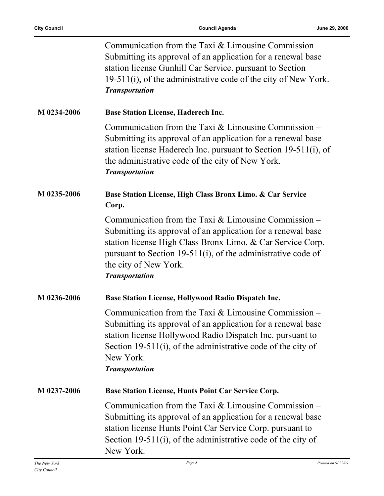|             | Communication from the Taxi $&$ Limousine Commission –<br>Submitting its approval of an application for a renewal base<br>station license Gunhill Car Service. pursuant to Section<br>19-511(i), of the administrative code of the city of New York.<br><b>Transportation</b>                          |
|-------------|--------------------------------------------------------------------------------------------------------------------------------------------------------------------------------------------------------------------------------------------------------------------------------------------------------|
| M 0234-2006 | <b>Base Station License, Haderech Inc.</b>                                                                                                                                                                                                                                                             |
|             | Communication from the Taxi $&$ Limousine Commission –<br>Submitting its approval of an application for a renewal base<br>station license Haderech Inc. pursuant to Section 19-511(i), of<br>the administrative code of the city of New York.<br><b>Transportation</b>                                 |
| M 0235-2006 | Base Station License, High Class Bronx Limo. & Car Service<br>Corp.                                                                                                                                                                                                                                    |
|             | Communication from the Taxi $&$ Limousine Commission –<br>Submitting its approval of an application for a renewal base<br>station license High Class Bronx Limo. & Car Service Corp.<br>pursuant to Section 19-511(i), of the administrative code of<br>the city of New York.<br><b>Transportation</b> |
| M 0236-2006 | <b>Base Station License, Hollywood Radio Dispatch Inc.</b>                                                                                                                                                                                                                                             |
|             | Communication from the Taxi $&$ Limousine Commission –<br>Submitting its approval of an application for a renewal base<br>station license Hollywood Radio Dispatch Inc. pursuant to<br>Section 19-511(i), of the administrative code of the city of<br>New York.<br><b>Transportation</b>              |
| M 0237-2006 | Base Station License, Hunts Point Car Service Corp.                                                                                                                                                                                                                                                    |
|             | Communication from the Taxi $&$ Limousine Commission –<br>Submitting its approval of an application for a renewal base<br>station license Hunts Point Car Service Corp. pursuant to<br>Section 19-511(i), of the administrative code of the city of<br>New York.                                       |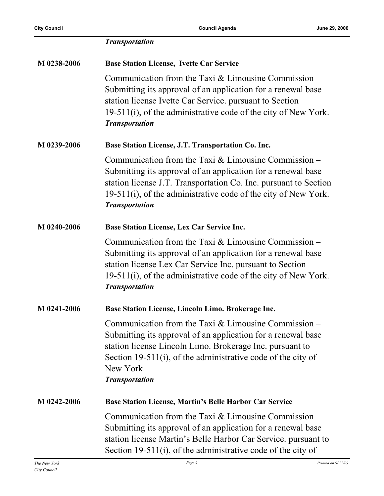|             | <b>Transportation</b>                                                                                                                                                                                                                                                                    |
|-------------|------------------------------------------------------------------------------------------------------------------------------------------------------------------------------------------------------------------------------------------------------------------------------------------|
| M 0238-2006 | <b>Base Station License, Ivette Car Service</b>                                                                                                                                                                                                                                          |
|             | Communication from the Taxi $&$ Limousine Commission –<br>Submitting its approval of an application for a renewal base<br>station license Ivette Car Service. pursuant to Section<br>19-511(i), of the administrative code of the city of New York.<br><b>Transportation</b>             |
| M 0239-2006 | Base Station License, J.T. Transportation Co. Inc.                                                                                                                                                                                                                                       |
|             | Communication from the Taxi $&$ Limousine Commission –<br>Submitting its approval of an application for a renewal base<br>station license J.T. Transportation Co. Inc. pursuant to Section<br>$19-511(i)$ , of the administrative code of the city of New York.<br><b>Transportation</b> |
| M 0240-2006 | Base Station License, Lex Car Service Inc.                                                                                                                                                                                                                                               |
|             | Communication from the Taxi $&$ Limousine Commission –<br>Submitting its approval of an application for a renewal base<br>station license Lex Car Service Inc. pursuant to Section<br>19-511(i), of the administrative code of the city of New York.<br><b>Transportation</b>            |
| M 0241-2006 | Base Station License, Lincoln Limo. Brokerage Inc.                                                                                                                                                                                                                                       |
|             | Communication from the Taxi $&$ Limousine Commission –<br>Submitting its approval of an application for a renewal base<br>station license Lincoln Limo. Brokerage Inc. pursuant to<br>Section 19-511(i), of the administrative code of the city of<br>New York.<br><b>Transportation</b> |
| M 0242-2006 | Base Station License, Martin's Belle Harbor Car Service                                                                                                                                                                                                                                  |
|             | Communication from the Taxi $&$ Limousine Commission –<br>Submitting its approval of an application for a renewal base<br>station license Martin's Belle Harbor Car Service. pursuant to<br>Section 19-511(i), of the administrative code of the city of                                 |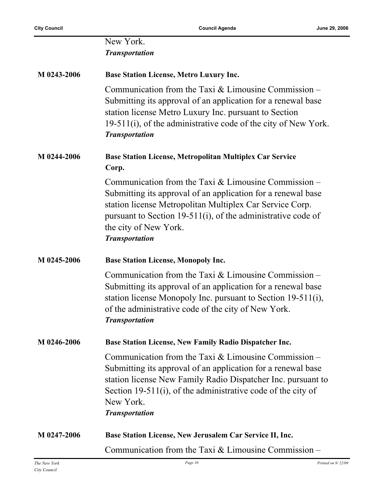|             | New York.<br><b>Transportation</b>                                                                                                                                                                                                                                                                   |
|-------------|------------------------------------------------------------------------------------------------------------------------------------------------------------------------------------------------------------------------------------------------------------------------------------------------------|
| M 0243-2006 | <b>Base Station License, Metro Luxury Inc.</b>                                                                                                                                                                                                                                                       |
|             | Communication from the Taxi $&$ Limousine Commission –<br>Submitting its approval of an application for a renewal base<br>station license Metro Luxury Inc. pursuant to Section<br>$19-511(i)$ , of the administrative code of the city of New York.<br><b>Transportation</b>                        |
| M 0244-2006 | <b>Base Station License, Metropolitan Multiplex Car Service</b><br>Corp.                                                                                                                                                                                                                             |
|             | Communication from the Taxi $&$ Limousine Commission –<br>Submitting its approval of an application for a renewal base<br>station license Metropolitan Multiplex Car Service Corp.<br>pursuant to Section 19-511(i), of the administrative code of<br>the city of New York.<br><b>Transportation</b> |
| M 0245-2006 | <b>Base Station License, Monopoly Inc.</b>                                                                                                                                                                                                                                                           |
|             | Communication from the Taxi & Limousine Commission -<br>Submitting its approval of an application for a renewal base<br>station license Monopoly Inc. pursuant to Section 19-511(i),<br>of the administrative code of the city of New York.<br><b>Transportation</b>                                 |
| M 0246-2006 | <b>Base Station License, New Family Radio Dispatcher Inc.</b>                                                                                                                                                                                                                                        |
|             | Communication from the Taxi $&$ Limousine Commission –<br>Submitting its approval of an application for a renewal base<br>station license New Family Radio Dispatcher Inc. pursuant to<br>Section 19-511(i), of the administrative code of the city of<br>New York.<br><b>Transportation</b>         |
| M 0247-2006 | Base Station License, New Jerusalem Car Service II, Inc.                                                                                                                                                                                                                                             |
|             | Communication from the Taxi $&$ Limousine Commission –                                                                                                                                                                                                                                               |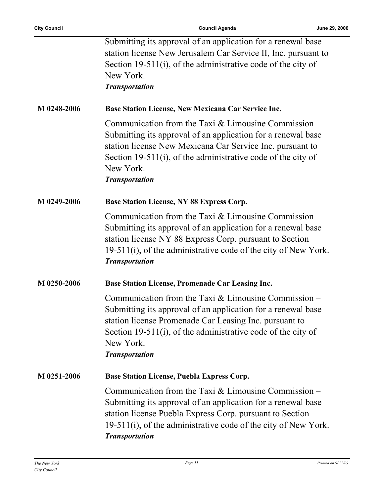$\overline{a}$ 

|             | Submitting its approval of an application for a renewal base<br>station license New Jerusalem Car Service II, Inc. pursuant to<br>Section 19-511(i), of the administrative code of the city of<br>New York.<br><b>Transportation</b>                                                      |
|-------------|-------------------------------------------------------------------------------------------------------------------------------------------------------------------------------------------------------------------------------------------------------------------------------------------|
| M 0248-2006 | Base Station License, New Mexicana Car Service Inc.                                                                                                                                                                                                                                       |
|             | Communication from the Taxi $&$ Limousine Commission –<br>Submitting its approval of an application for a renewal base<br>station license New Mexicana Car Service Inc. pursuant to<br>Section 19-511(i), of the administrative code of the city of<br>New York.<br><b>Transportation</b> |
| M 0249-2006 | <b>Base Station License, NY 88 Express Corp.</b>                                                                                                                                                                                                                                          |
|             | Communication from the Taxi $&$ Limousine Commission –<br>Submitting its approval of an application for a renewal base<br>station license NY 88 Express Corp. pursuant to Section<br>19-511(i), of the administrative code of the city of New York.<br><b>Transportation</b>              |
| M 0250-2006 | Base Station License, Promenade Car Leasing Inc.                                                                                                                                                                                                                                          |
|             | Communication from the Taxi & Limousine Commission –<br>Submitting its approval of an application for a renewal base<br>station license Promenade Car Leasing Inc. pursuant to<br>Section 19-511(i), of the administrative code of the city of<br>New York.<br><b>Transportation</b>      |
| M 0251-2006 | <b>Base Station License, Puebla Express Corp.</b>                                                                                                                                                                                                                                         |
|             | Communication from the Taxi $&$ Limousine Commission –<br>Submitting its approval of an application for a renewal base<br>station license Puebla Express Corp. pursuant to Section<br>19-511(i), of the administrative code of the city of New York.<br><b>Transportation</b>             |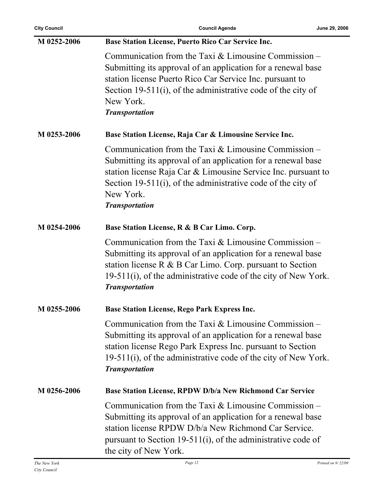| <b>City Council</b> | <b>Council Agenda</b>                                                                                                                                                                                                                                                                         | June 29, 2006 |
|---------------------|-----------------------------------------------------------------------------------------------------------------------------------------------------------------------------------------------------------------------------------------------------------------------------------------------|---------------|
| M 0252-2006         | Base Station License, Puerto Rico Car Service Inc.                                                                                                                                                                                                                                            |               |
|                     | Communication from the Taxi $&$ Limousine Commission –<br>Submitting its approval of an application for a renewal base<br>station license Puerto Rico Car Service Inc. pursuant to<br>Section 19-511(i), of the administrative code of the city of<br>New York.<br><b>Transportation</b>      |               |
| M 0253-2006         | Base Station License, Raja Car & Limousine Service Inc.                                                                                                                                                                                                                                       |               |
|                     | Communication from the Taxi $&$ Limousine Commission –<br>Submitting its approval of an application for a renewal base<br>station license Raja Car & Limousine Service Inc. pursuant to<br>Section 19-511(i), of the administrative code of the city of<br>New York.<br><b>Transportation</b> |               |
| M 0254-2006         | Base Station License, R & B Car Limo. Corp.                                                                                                                                                                                                                                                   |               |
|                     | Communication from the Taxi $&$ Limousine Commission –<br>Submitting its approval of an application for a renewal base<br>station license $R \& B$ Car Limo. Corp. pursuant to Section<br>$19-511(i)$ , of the administrative code of the city of New York.<br><b>Transportation</b>          |               |
| M 0255-2006         | <b>Base Station License, Rego Park Express Inc.</b>                                                                                                                                                                                                                                           |               |
|                     | Communication from the Taxi $&$ Limousine Commission –<br>Submitting its approval of an application for a renewal base<br>station license Rego Park Express Inc. pursuant to Section<br>19-511(i), of the administrative code of the city of New York.<br><b>Transportation</b>               |               |
| M 0256-2006         | Base Station License, RPDW D/b/a New Richmond Car Service                                                                                                                                                                                                                                     |               |
|                     | Communication from the Taxi $&$ Limousine Commission –<br>Submitting its approval of an application for a renewal base<br>station license RPDW D/b/a New Richmond Car Service.<br>pursuant to Section 19-511(i), of the administrative code of<br>the city of New York.                       |               |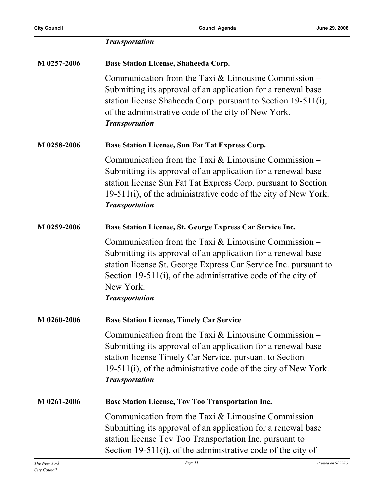|             | <b>Transportation</b>                                                                                                                                                                                                                                                                           |
|-------------|-------------------------------------------------------------------------------------------------------------------------------------------------------------------------------------------------------------------------------------------------------------------------------------------------|
| M 0257-2006 | <b>Base Station License, Shaheeda Corp.</b>                                                                                                                                                                                                                                                     |
|             | Communication from the Taxi $&$ Limousine Commission –<br>Submitting its approval of an application for a renewal base<br>station license Shaheeda Corp. pursuant to Section 19-511(i),<br>of the administrative code of the city of New York.<br><b>Transportation</b>                         |
| M 0258-2006 | Base Station License, Sun Fat Tat Express Corp.                                                                                                                                                                                                                                                 |
|             | Communication from the Taxi $&$ Limousine Commission –<br>Submitting its approval of an application for a renewal base<br>station license Sun Fat Tat Express Corp. pursuant to Section<br>19-511(i), of the administrative code of the city of New York.<br><b>Transportation</b>              |
| M 0259-2006 | Base Station License, St. George Express Car Service Inc.                                                                                                                                                                                                                                       |
|             | Communication from the Taxi $&$ Limousine Commission –<br>Submitting its approval of an application for a renewal base<br>station license St. George Express Car Service Inc. pursuant to<br>Section 19-511(i), of the administrative code of the city of<br>New York.<br><b>Transportation</b> |
| M 0260-2006 | <b>Base Station License, Timely Car Service</b>                                                                                                                                                                                                                                                 |
|             | Communication from the Taxi $&$ Limousine Commission –<br>Submitting its approval of an application for a renewal base<br>station license Timely Car Service. pursuant to Section<br>19-511(i), of the administrative code of the city of New York.<br><b>Transportation</b>                    |
| M 0261-2006 | <b>Base Station License, Tov Too Transportation Inc.</b>                                                                                                                                                                                                                                        |
|             | Communication from the Taxi $&$ Limousine Commission –<br>Submitting its approval of an application for a renewal base<br>station license Tov Too Transportation Inc. pursuant to<br>Section 19-511(i), of the administrative code of the city of                                               |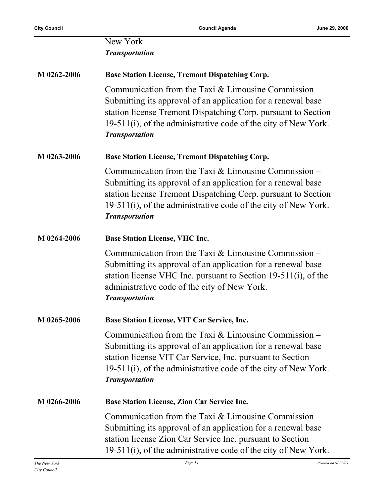|             | New York.<br><b>Transportation</b>                                                                                                                                                                                                                                                 |
|-------------|------------------------------------------------------------------------------------------------------------------------------------------------------------------------------------------------------------------------------------------------------------------------------------|
| M 0262-2006 | <b>Base Station License, Tremont Dispatching Corp.</b>                                                                                                                                                                                                                             |
|             | Communication from the Taxi $&$ Limousine Commission –<br>Submitting its approval of an application for a renewal base<br>station license Tremont Dispatching Corp. pursuant to Section<br>19-511(i), of the administrative code of the city of New York.<br><b>Transportation</b> |
| M 0263-2006 | <b>Base Station License, Tremont Dispatching Corp.</b>                                                                                                                                                                                                                             |
|             | Communication from the Taxi $&$ Limousine Commission –<br>Submitting its approval of an application for a renewal base<br>station license Tremont Dispatching Corp. pursuant to Section<br>19-511(i), of the administrative code of the city of New York.<br><b>Transportation</b> |
| M 0264-2006 | <b>Base Station License, VHC Inc.</b>                                                                                                                                                                                                                                              |
|             | Communication from the Taxi $&$ Limousine Commission –<br>Submitting its approval of an application for a renewal base<br>station license VHC Inc. pursuant to Section $19-511(i)$ , of the<br>administrative code of the city of New York.<br><b>Transportation</b>               |
| M 0265-2006 | Base Station License, VIT Car Service, Inc.                                                                                                                                                                                                                                        |
|             | Communication from the Taxi $&$ Limousine Commission –<br>Submitting its approval of an application for a renewal base<br>station license VIT Car Service, Inc. pursuant to Section<br>19-511(i), of the administrative code of the city of New York.<br><b>Transportation</b>     |
| M 0266-2006 | <b>Base Station License, Zion Car Service Inc.</b>                                                                                                                                                                                                                                 |
|             | Communication from the Taxi $&$ Limousine Commission –<br>Submitting its approval of an application for a renewal base<br>station license Zion Car Service Inc. pursuant to Section<br>19-511(i), of the administrative code of the city of New York.                              |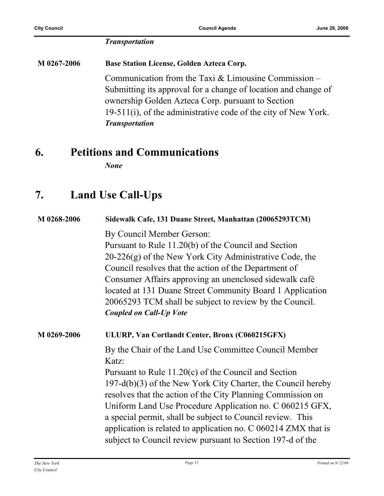#### *Transportation*

**M 0267-2006 Base Station License, Golden Azteca Corp.** Communication from the Taxi & Limousine Commission – Submitting its approval for a change of location and change of ownership Golden Azteca Corp. pursuant to Section 19-511(i), of the administrative code of the city of New York. *Transportation*

### **6. Petitions and Communications**

*None*

## **7. Land Use Call-Ups**

| M 0268-2006 | Sidewalk Cafe, 131 Duane Street, Manhattan (20065293TCM)         |
|-------------|------------------------------------------------------------------|
|             | By Council Member Gerson:                                        |
|             | Pursuant to Rule 11.20(b) of the Council and Section             |
|             | $20-226(g)$ of the New York City Administrative Code, the        |
|             | Council resolves that the action of the Department of            |
|             | Consumer Affairs approving an unenclosed sidewalk café           |
|             | located at 131 Duane Street Community Board 1 Application        |
|             | 20065293 TCM shall be subject to review by the Council.          |
|             | <b>Coupled on Call-Up Vote</b>                                   |
| M 0269-2006 | ULURP, Van Cortlandt Center, Bronx (C060215GFX)                  |
|             | By the Chair of the Land Use Committee Council Member            |
|             | Katz:                                                            |
|             | Pursuant to Rule $11.20(c)$ of the Council and Section           |
|             | 197-d(b)(3) of the New York City Charter, the Council hereby     |
|             | resolves that the action of the City Planning Commission on      |
|             | Uniform Land Use Procedure Application no. C 060215 GFX,         |
|             | a special permit, shall be subject to Council review. This       |
|             | application is related to application no. $C$ 060214 ZMX that is |
|             | subject to Council review pursuant to Section 197-d of the       |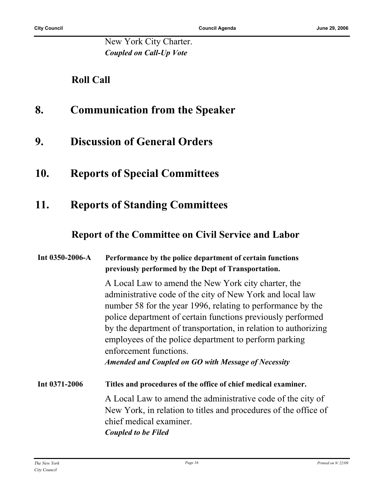New York City Charter. *Coupled on Call-Up Vote*

### **Roll Call**

- **8. Communication from the Speaker**
- **9. Discussion of General Orders**
- **10. Reports of Special Committees**
- **11. Reports of Standing Committees**

#### **Report of the Committee on Civil Service and Labor**

#### **Int 0350-2006-A Performance by the police department of certain functions previously performed by the Dept of Transportation.**

A Local Law to amend the New York city charter, the administrative code of the city of New York and local law number 58 for the year 1996, relating to performance by the police department of certain functions previously performed by the department of transportation, in relation to authorizing employees of the police department to perform parking enforcement functions.

*Amended and Coupled on GO with Message of Necessity*

**Int 0371-2006 Titles and procedures of the office of chief medical examiner.** A Local Law to amend the administrative code of the city of New York, in relation to titles and procedures of the office of chief medical examiner. *Coupled to be Filed*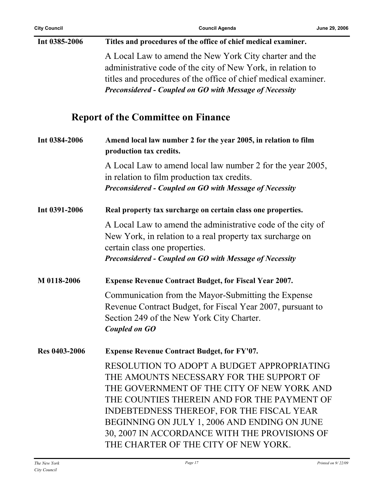| Int 0385-2006        | Titles and procedures of the office of chief medical examiner.                                                                                                                                                                                                                                                                                                            |
|----------------------|---------------------------------------------------------------------------------------------------------------------------------------------------------------------------------------------------------------------------------------------------------------------------------------------------------------------------------------------------------------------------|
|                      | A Local Law to amend the New York City charter and the<br>administrative code of the city of New York, in relation to<br>titles and procedures of the office of chief medical examiner.<br>Preconsidered - Coupled on GO with Message of Necessity                                                                                                                        |
|                      | <b>Report of the Committee on Finance</b>                                                                                                                                                                                                                                                                                                                                 |
| Int 0384-2006        | Amend local law number 2 for the year 2005, in relation to film<br>production tax credits.                                                                                                                                                                                                                                                                                |
|                      | A Local Law to amend local law number 2 for the year 2005,<br>in relation to film production tax credits.<br>Preconsidered - Coupled on GO with Message of Necessity                                                                                                                                                                                                      |
| Int 0391-2006        | Real property tax surcharge on certain class one properties.                                                                                                                                                                                                                                                                                                              |
|                      | A Local Law to amend the administrative code of the city of<br>New York, in relation to a real property tax surcharge on<br>certain class one properties.<br><b>Preconsidered - Coupled on GO with Message of Necessity</b>                                                                                                                                               |
| M 0118-2006          | <b>Expense Revenue Contract Budget, for Fiscal Year 2007.</b>                                                                                                                                                                                                                                                                                                             |
|                      | Communication from the Mayor-Submitting the Expense<br>Revenue Contract Budget, for Fiscal Year 2007, pursuant to<br>Section 249 of the New York City Charter.<br><b>Coupled on GO</b>                                                                                                                                                                                    |
| <b>Res 0403-2006</b> | <b>Expense Revenue Contract Budget, for FY'07.</b>                                                                                                                                                                                                                                                                                                                        |
|                      | RESOLUTION TO ADOPT A BUDGET APPROPRIATING<br>THE AMOUNTS NECESSARY FOR THE SUPPORT OF<br>THE GOVERNMENT OF THE CITY OF NEW YORK AND<br>THE COUNTIES THEREIN AND FOR THE PAYMENT OF<br>INDEBTEDNESS THEREOF, FOR THE FISCAL YEAR<br>BEGINNING ON JULY 1, 2006 AND ENDING ON JUNE<br>30, 2007 IN ACCORDANCE WITH THE PROVISIONS OF<br>THE CHARTER OF THE CITY OF NEW YORK. |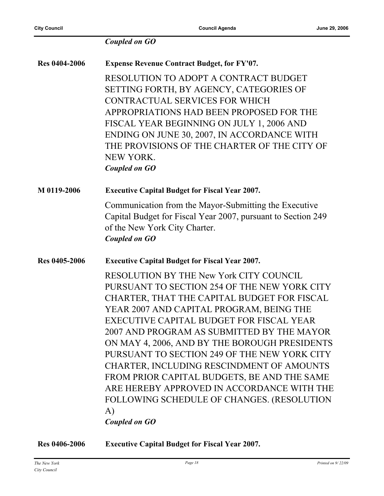|                      | <b>Coupled on GO</b>                                                                                                                                                                                                                                                                                                                                                                                                                                                                                                                                                                                |
|----------------------|-----------------------------------------------------------------------------------------------------------------------------------------------------------------------------------------------------------------------------------------------------------------------------------------------------------------------------------------------------------------------------------------------------------------------------------------------------------------------------------------------------------------------------------------------------------------------------------------------------|
| <b>Res 0404-2006</b> | <b>Expense Revenue Contract Budget, for FY'07.</b>                                                                                                                                                                                                                                                                                                                                                                                                                                                                                                                                                  |
|                      | RESOLUTION TO ADOPT A CONTRACT BUDGET<br>SETTING FORTH, BY AGENCY, CATEGORIES OF<br>CONTRACTUAL SERVICES FOR WHICH<br>APPROPRIATIONS HAD BEEN PROPOSED FOR THE<br>FISCAL YEAR BEGINNING ON JULY 1, 2006 AND<br>ENDING ON JUNE 30, 2007, IN ACCORDANCE WITH<br>THE PROVISIONS OF THE CHARTER OF THE CITY OF<br><b>NEW YORK.</b><br><b>Coupled on GO</b>                                                                                                                                                                                                                                              |
| M 0119-2006          | <b>Executive Capital Budget for Fiscal Year 2007.</b>                                                                                                                                                                                                                                                                                                                                                                                                                                                                                                                                               |
|                      | Communication from the Mayor-Submitting the Executive<br>Capital Budget for Fiscal Year 2007, pursuant to Section 249<br>of the New York City Charter.<br><b>Coupled on GO</b>                                                                                                                                                                                                                                                                                                                                                                                                                      |
| Res 0405-2006        | <b>Executive Capital Budget for Fiscal Year 2007.</b>                                                                                                                                                                                                                                                                                                                                                                                                                                                                                                                                               |
|                      | RESOLUTION BY THE New York CITY COUNCIL<br>PURSUANT TO SECTION 254 OF THE NEW YORK CITY<br>CHARTER, THAT THE CAPITAL BUDGET FOR FISCAL<br>YEAR 2007 AND CAPITAL PROGRAM, BEING THE<br>EXECUTIVE CAPITAL BUDGET FOR FISCAL YEAR<br>2007 AND PROGRAM AS SUBMITTED BY THE MAYOR<br>ON MAY 4, 2006, AND BY THE BOROUGH PRESIDENTS<br>PURSUANT TO SECTION 249 OF THE NEW YORK CITY<br>CHARTER, INCLUDING RESCINDMENT OF AMOUNTS<br>FROM PRIOR CAPITAL BUDGETS, BE AND THE SAME<br>ARE HEREBY APPROVED IN ACCORDANCE WITH THE<br>FOLLOWING SCHEDULE OF CHANGES. (RESOLUTION<br>A)<br><b>Coupled on GO</b> |

**Res 0406-2006 Executive Capital Budget for Fiscal Year 2007.**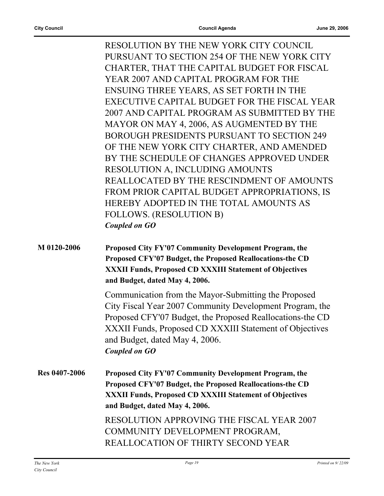RESOLUTION BY THE NEW YORK CITY COUNCIL PURSUANT TO SECTION 254 OF THE NEW YORK CITY CHARTER, THAT THE CAPITAL BUDGET FOR FISCAL YEAR 2007 AND CAPITAL PROGRAM FOR THE ENSUING THREE YEARS, AS SET FORTH IN THE EXECUTIVE CAPITAL BUDGET FOR THE FISCAL YEAR 2007 AND CAPITAL PROGRAM AS SUBMITTED BY THE MAYOR ON MAY 4, 2006, AS AUGMENTED BY THE BOROUGH PRESIDENTS PURSUANT TO SECTION 249 OF THE NEW YORK CITY CHARTER, AND AMENDED BY THE SCHEDULE OF CHANGES APPROVED UNDER RESOLUTION A, INCLUDING AMOUNTS REALLOCATED BY THE RESCINDMENT OF AMOUNTS FROM PRIOR CAPITAL BUDGET APPROPRIATIONS, IS HEREBY ADOPTED IN THE TOTAL AMOUNTS AS FOLLOWS. (RESOLUTION B) *Coupled on GO*

**M 0120-2006 Proposed City FY'07 Community Development Program, the Proposed CFY'07 Budget, the Proposed Reallocations-the CD XXXII Funds, Proposed CD XXXIII Statement of Objectives and Budget, dated May 4, 2006.**

> Communication from the Mayor-Submitting the Proposed City Fiscal Year 2007 Community Development Program, the Proposed CFY'07 Budget, the Proposed Reallocations-the CD XXXII Funds, Proposed CD XXXIII Statement of Objectives and Budget, dated May 4, 2006. *Coupled on GO*

**Res 0407-2006 Proposed City FY'07 Community Development Program, the Proposed CFY'07 Budget, the Proposed Reallocations-the CD XXXII Funds, Proposed CD XXXIII Statement of Objectives and Budget, dated May 4, 2006.** RESOLUTION APPROVING THE FISCAL YEAR 2007 COMMUNITY DEVELOPMENT PROGRAM,

REALLOCATION OF THIRTY SECOND YEAR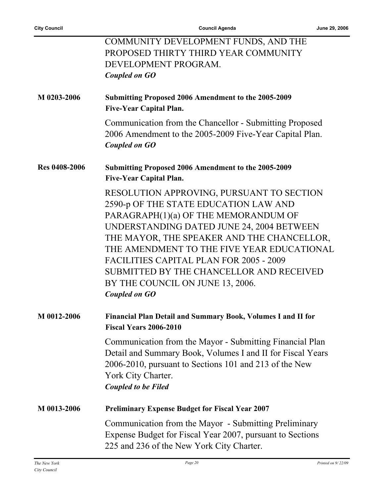ř.

|                      | COMMUNITY DEVELOPMENT FUNDS, AND THE<br>PROPOSED THIRTY THIRD YEAR COMMUNITY<br>DEVELOPMENT PROGRAM.<br><b>Coupled on GO</b>                                                                                                                                                                                                                                                                                                  |
|----------------------|-------------------------------------------------------------------------------------------------------------------------------------------------------------------------------------------------------------------------------------------------------------------------------------------------------------------------------------------------------------------------------------------------------------------------------|
| M 0203-2006          | Submitting Proposed 2006 Amendment to the 2005-2009<br><b>Five-Year Capital Plan.</b>                                                                                                                                                                                                                                                                                                                                         |
|                      | Communication from the Chancellor - Submitting Proposed<br>2006 Amendment to the 2005-2009 Five-Year Capital Plan.<br><b>Coupled on GO</b>                                                                                                                                                                                                                                                                                    |
| <b>Res 0408-2006</b> | <b>Submitting Proposed 2006 Amendment to the 2005-2009</b><br><b>Five-Year Capital Plan.</b>                                                                                                                                                                                                                                                                                                                                  |
|                      | RESOLUTION APPROVING, PURSUANT TO SECTION<br>2590-p OF THE STATE EDUCATION LAW AND<br>PARAGRAPH(1)(a) OF THE MEMORANDUM OF<br>UNDERSTANDING DATED JUNE 24, 2004 BETWEEN<br>THE MAYOR, THE SPEAKER AND THE CHANCELLOR,<br>THE AMENDMENT TO THE FIVE YEAR EDUCATIONAL<br><b>FACILITIES CAPITAL PLAN FOR 2005 - 2009</b><br>SUBMITTED BY THE CHANCELLOR AND RECEIVED<br>BY THE COUNCIL ON JUNE 13, 2006.<br><b>Coupled on GO</b> |
| M 0012-2006          | <b>Financial Plan Detail and Summary Book, Volumes I and II for</b><br><b>Fiscal Years 2006-2010</b>                                                                                                                                                                                                                                                                                                                          |
|                      | Communication from the Mayor - Submitting Financial Plan<br>Detail and Summary Book, Volumes I and II for Fiscal Years<br>2006-2010, pursuant to Sections 101 and 213 of the New<br>York City Charter.<br><b>Coupled to be Filed</b>                                                                                                                                                                                          |
| M 0013-2006          | <b>Preliminary Expense Budget for Fiscal Year 2007</b>                                                                                                                                                                                                                                                                                                                                                                        |
|                      | Communication from the Mayor - Submitting Preliminary<br>Expense Budget for Fiscal Year 2007, pursuant to Sections<br>225 and 236 of the New York City Charter.                                                                                                                                                                                                                                                               |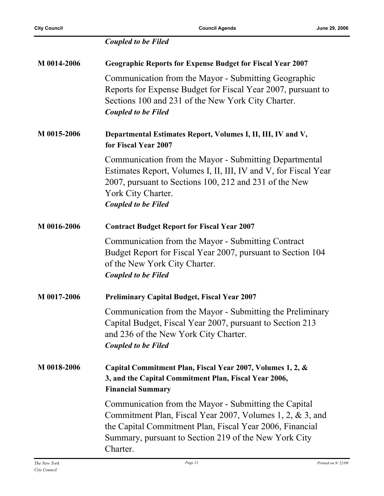|             | <b>Coupled to be Filed</b>                                                                                                                                                                                                                          |
|-------------|-----------------------------------------------------------------------------------------------------------------------------------------------------------------------------------------------------------------------------------------------------|
| M 0014-2006 | <b>Geographic Reports for Expense Budget for Fiscal Year 2007</b>                                                                                                                                                                                   |
|             | Communication from the Mayor - Submitting Geographic<br>Reports for Expense Budget for Fiscal Year 2007, pursuant to<br>Sections 100 and 231 of the New York City Charter.<br><b>Coupled to be Filed</b>                                            |
| M 0015-2006 | Departmental Estimates Report, Volumes I, II, III, IV and V,<br>for Fiscal Year 2007                                                                                                                                                                |
|             | Communication from the Mayor - Submitting Departmental<br>Estimates Report, Volumes I, II, III, IV and V, for Fiscal Year<br>2007, pursuant to Sections 100, 212 and 231 of the New<br>York City Charter.<br><b>Coupled to be Filed</b>             |
| M 0016-2006 | <b>Contract Budget Report for Fiscal Year 2007</b>                                                                                                                                                                                                  |
|             | Communication from the Mayor - Submitting Contract<br>Budget Report for Fiscal Year 2007, pursuant to Section 104<br>of the New York City Charter.<br><b>Coupled to be Filed</b>                                                                    |
| M 0017-2006 | <b>Preliminary Capital Budget, Fiscal Year 2007</b>                                                                                                                                                                                                 |
|             | Communication from the Mayor - Submitting the Preliminary<br>Capital Budget, Fiscal Year 2007, pursuant to Section 213<br>and 236 of the New York City Charter.<br><b>Coupled to be Filed</b>                                                       |
| M 0018-2006 | Capital Commitment Plan, Fiscal Year 2007, Volumes 1, 2, &<br>3, and the Capital Commitment Plan, Fiscal Year 2006,<br><b>Financial Summary</b>                                                                                                     |
|             | Communication from the Mayor - Submitting the Capital<br>Commitment Plan, Fiscal Year 2007, Volumes 1, 2, & 3, and<br>the Capital Commitment Plan, Fiscal Year 2006, Financial<br>Summary, pursuant to Section 219 of the New York City<br>Charter. |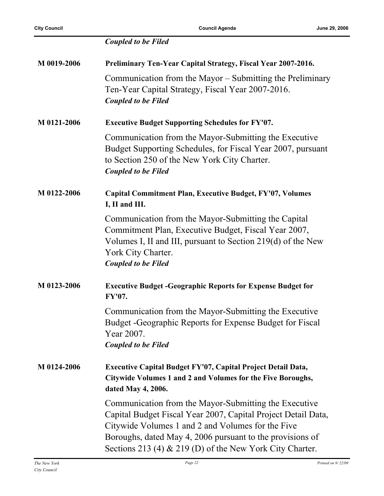|             | <b>Coupled to be Filed</b>                                                                                                                                                                                                                                                                              |
|-------------|---------------------------------------------------------------------------------------------------------------------------------------------------------------------------------------------------------------------------------------------------------------------------------------------------------|
| M 0019-2006 | Preliminary Ten-Year Capital Strategy, Fiscal Year 2007-2016.                                                                                                                                                                                                                                           |
|             | Communication from the Mayor – Submitting the Preliminary<br>Ten-Year Capital Strategy, Fiscal Year 2007-2016.<br><b>Coupled to be Filed</b>                                                                                                                                                            |
| M 0121-2006 | <b>Executive Budget Supporting Schedules for FY'07.</b>                                                                                                                                                                                                                                                 |
|             | Communication from the Mayor-Submitting the Executive<br>Budget Supporting Schedules, for Fiscal Year 2007, pursuant<br>to Section 250 of the New York City Charter.<br><b>Coupled to be Filed</b>                                                                                                      |
| M 0122-2006 | <b>Capital Commitment Plan, Executive Budget, FY'07, Volumes</b><br>I, II and III.                                                                                                                                                                                                                      |
|             | Communication from the Mayor-Submitting the Capital<br>Commitment Plan, Executive Budget, Fiscal Year 2007,<br>Volumes I, II and III, pursuant to Section 219(d) of the New<br>York City Charter.<br><b>Coupled to be Filed</b>                                                                         |
| M 0123-2006 | <b>Executive Budget - Geographic Reports for Expense Budget for</b><br>FY'07.                                                                                                                                                                                                                           |
|             | Communication from the Mayor-Submitting the Executive<br>Budget - Geographic Reports for Expense Budget for Fiscal<br>Year 2007.<br><b>Coupled to be Filed</b>                                                                                                                                          |
| M 0124-2006 | Executive Capital Budget FY'07, Capital Project Detail Data,<br>Citywide Volumes 1 and 2 and Volumes for the Five Boroughs,<br>dated May 4, 2006.                                                                                                                                                       |
|             | Communication from the Mayor-Submitting the Executive<br>Capital Budget Fiscal Year 2007, Capital Project Detail Data,<br>Citywide Volumes 1 and 2 and Volumes for the Five<br>Boroughs, dated May 4, 2006 pursuant to the provisions of<br>Sections 213 (4) $\&$ 219 (D) of the New York City Charter. |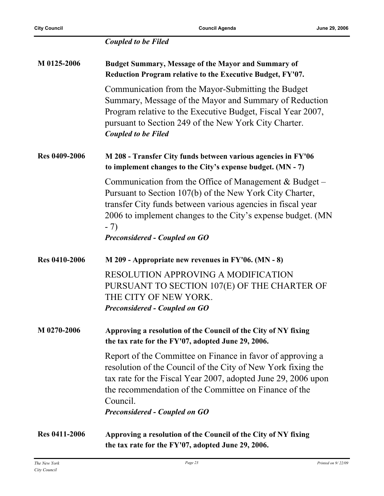|                      | <b>Coupled to be Filed</b>                                                                                                                                                                                                                                                                               |
|----------------------|----------------------------------------------------------------------------------------------------------------------------------------------------------------------------------------------------------------------------------------------------------------------------------------------------------|
| M 0125-2006          | <b>Budget Summary, Message of the Mayor and Summary of</b><br>Reduction Program relative to the Executive Budget, FY'07.                                                                                                                                                                                 |
|                      | Communication from the Mayor-Submitting the Budget<br>Summary, Message of the Mayor and Summary of Reduction<br>Program relative to the Executive Budget, Fiscal Year 2007,<br>pursuant to Section 249 of the New York City Charter.<br><b>Coupled to be Filed</b>                                       |
| <b>Res 0409-2006</b> | M 208 - Transfer City funds between various agencies in FY'06<br>to implement changes to the City's expense budget. (MN - 7)                                                                                                                                                                             |
|                      | Communication from the Office of Management $& Budget-$<br>Pursuant to Section 107(b) of the New York City Charter,<br>transfer City funds between various agencies in fiscal year<br>2006 to implement changes to the City's expense budget. (MN<br>$-7)$<br><b>Preconsidered - Coupled on GO</b>       |
|                      |                                                                                                                                                                                                                                                                                                          |
| <b>Res 0410-2006</b> | $M$ 209 - Appropriate new revenues in FY'06. (MN - 8)                                                                                                                                                                                                                                                    |
|                      | <b>RESOLUTION APPROVING A MODIFICATION</b><br>PURSUANT TO SECTION 107(E) OF THE CHARTER OF<br>THE CITY OF NEW YORK.<br><b>Preconsidered - Coupled on GO</b>                                                                                                                                              |
| M 0270-2006          | Approving a resolution of the Council of the City of NY fixing<br>the tax rate for the FY'07, adopted June 29, 2006.                                                                                                                                                                                     |
|                      | Report of the Committee on Finance in favor of approving a<br>resolution of the Council of the City of New York fixing the<br>tax rate for the Fiscal Year 2007, adopted June 29, 2006 upon<br>the recommendation of the Committee on Finance of the<br>Council.<br><b>Preconsidered - Coupled on GO</b> |
| <b>Res 0411-2006</b> | Approving a resolution of the Council of the City of NY fixing<br>the tax rate for the FY'07, adopted June 29, 2006.                                                                                                                                                                                     |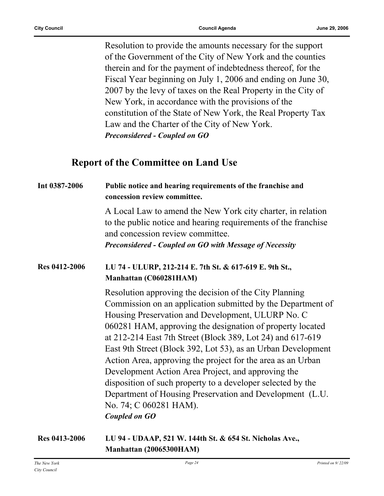Resolution to provide the amounts necessary for the support of the Government of the City of New York and the counties therein and for the payment of indebtedness thereof, for the Fiscal Year beginning on July 1, 2006 and ending on June 30, 2007 by the levy of taxes on the Real Property in the City of New York, in accordance with the provisions of the constitution of the State of New York, the Real Property Tax Law and the Charter of the City of New York. *Preconsidered - Coupled on GO*

#### **Report of the Committee on Land Use**

| Int 0387-2006        | Public notice and hearing requirements of the franchise and<br>concession review committee.                                                                                                                                                                                                                                                                                                                                                                                                                                                                                                                                                                      |
|----------------------|------------------------------------------------------------------------------------------------------------------------------------------------------------------------------------------------------------------------------------------------------------------------------------------------------------------------------------------------------------------------------------------------------------------------------------------------------------------------------------------------------------------------------------------------------------------------------------------------------------------------------------------------------------------|
|                      | A Local Law to amend the New York city charter, in relation<br>to the public notice and hearing requirements of the franchise<br>and concession review committee.<br><b>Preconsidered - Coupled on GO with Message of Necessity</b>                                                                                                                                                                                                                                                                                                                                                                                                                              |
| <b>Res 0412-2006</b> | LU 74 - ULURP, 212-214 E. 7th St. & 617-619 E. 9th St.,<br>Manhattan (C060281HAM)                                                                                                                                                                                                                                                                                                                                                                                                                                                                                                                                                                                |
|                      | Resolution approving the decision of the City Planning<br>Commission on an application submitted by the Department of<br>Housing Preservation and Development, ULURP No. C<br>060281 HAM, approving the designation of property located<br>at 212-214 East 7th Street (Block 389, Lot 24) and 617-619<br>East 9th Street (Block 392, Lot 53), as an Urban Development<br>Action Area, approving the project for the area as an Urban<br>Development Action Area Project, and approving the<br>disposition of such property to a developer selected by the<br>Department of Housing Preservation and Development (L.U.<br>No. 74; C 060281 HAM).<br>Coupled on GO |

**Res 0413-2006 LU 94 - UDAAP, 521 W. 144th St. & 654 St. Nicholas Ave., Manhattan (20065300HAM)**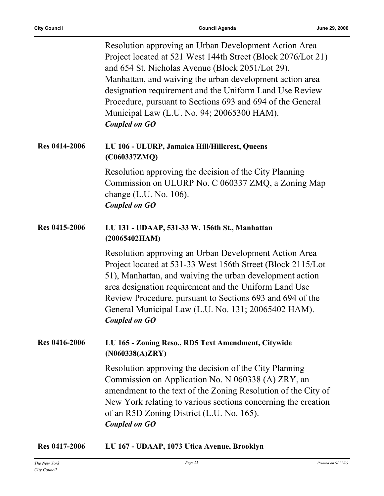|                      | Resolution approving an Urban Development Action Area<br>Project located at 521 West 144th Street (Block 2076/Lot 21)<br>and 654 St. Nicholas Avenue (Block 2051/Lot 29),<br>Manhattan, and waiving the urban development action area<br>designation requirement and the Uniform Land Use Review<br>Procedure, pursuant to Sections 693 and 694 of the General<br>Municipal Law (L.U. No. 94; 20065300 HAM).<br><b>Coupled on GO</b> |
|----------------------|--------------------------------------------------------------------------------------------------------------------------------------------------------------------------------------------------------------------------------------------------------------------------------------------------------------------------------------------------------------------------------------------------------------------------------------|
| <b>Res 0414-2006</b> | LU 106 - ULURP, Jamaica Hill/Hillcrest, Queens<br>(C060337ZMQ)                                                                                                                                                                                                                                                                                                                                                                       |
|                      | Resolution approving the decision of the City Planning<br>Commission on ULURP No. C 060337 ZMQ, a Zoning Map<br>change $(L.U. No. 106)$ .<br><b>Coupled on GO</b>                                                                                                                                                                                                                                                                    |
| Res 0415-2006        | LU 131 - UDAAP, 531-33 W. 156th St., Manhattan<br>(20065402HAM)                                                                                                                                                                                                                                                                                                                                                                      |
|                      | Resolution approving an Urban Development Action Area<br>Project located at 531-33 West 156th Street (Block 2115/Lot<br>51), Manhattan, and waiving the urban development action<br>area designation requirement and the Uniform Land Use<br>Review Procedure, pursuant to Sections 693 and 694 of the<br>General Municipal Law (L.U. No. 131; 20065402 HAM).<br><b>Coupled on GO</b>                                                |
| <b>Res 0416-2006</b> | LU 165 - Zoning Reso., RD5 Text Amendment, Citywide<br>(N060338(A)ZRY)                                                                                                                                                                                                                                                                                                                                                               |
|                      | Resolution approving the decision of the City Planning<br>Commission on Application No. N 060338 (A) ZRY, an<br>amendment to the text of the Zoning Resolution of the City of<br>New York relating to various sections concerning the creation<br>of an R5D Zoning District (L.U. No. 165).<br><b>Coupled on GO</b>                                                                                                                  |

| <b>Res 0417-2006</b> | LU 167 - UDAAP, 1073 Utica Avenue, Brooklyn |
|----------------------|---------------------------------------------|
|----------------------|---------------------------------------------|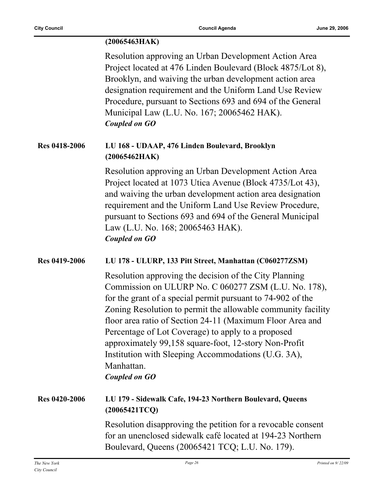|                      | (20065463HAK)                                                                                                                                                                                                                                                                                                                                                                                                                                                                                                          |
|----------------------|------------------------------------------------------------------------------------------------------------------------------------------------------------------------------------------------------------------------------------------------------------------------------------------------------------------------------------------------------------------------------------------------------------------------------------------------------------------------------------------------------------------------|
|                      | Resolution approving an Urban Development Action Area<br>Project located at 476 Linden Boulevard (Block 4875/Lot 8),<br>Brooklyn, and waiving the urban development action area<br>designation requirement and the Uniform Land Use Review<br>Procedure, pursuant to Sections 693 and 694 of the General<br>Municipal Law (L.U. No. 167; 20065462 HAK).<br><b>Coupled on GO</b>                                                                                                                                        |
| <b>Res 0418-2006</b> | LU 168 - UDAAP, 476 Linden Boulevard, Brooklyn<br>(20065462HAK)                                                                                                                                                                                                                                                                                                                                                                                                                                                        |
|                      | Resolution approving an Urban Development Action Area<br>Project located at 1073 Utica Avenue (Block 4735/Lot 43),<br>and waiving the urban development action area designation<br>requirement and the Uniform Land Use Review Procedure,<br>pursuant to Sections 693 and 694 of the General Municipal<br>Law (L.U. No. 168; 20065463 HAK).<br><b>Coupled on GO</b>                                                                                                                                                    |
| Res 0419-2006        | LU 178 - ULURP, 133 Pitt Street, Manhattan (C060277ZSM)                                                                                                                                                                                                                                                                                                                                                                                                                                                                |
|                      | Resolution approving the decision of the City Planning<br>Commission on ULURP No. C 060277 ZSM (L.U. No. 178),<br>for the grant of a special permit pursuant to 74-902 of the<br>Zoning Resolution to permit the allowable community facility<br>floor area ratio of Section 24-11 (Maximum Floor Area and<br>Percentage of Lot Coverage) to apply to a proposed<br>approximately 99,158 square-foot, 12-story Non-Profit<br>Institution with Sleeping Accommodations (U.G. 3A),<br>Manhattan.<br><b>Coupled on GO</b> |
| <b>Res 0420-2006</b> | LU 179 - Sidewalk Cafe, 194-23 Northern Boulevard, Queens<br>(20065421TCQ)                                                                                                                                                                                                                                                                                                                                                                                                                                             |
|                      | Resolution disapproving the petition for a revocable consent<br>for an unenclosed sidewalk café located at 194-23 Northern<br>Boulevard, Queens (20065421 TCQ; L.U. No. 179).                                                                                                                                                                                                                                                                                                                                          |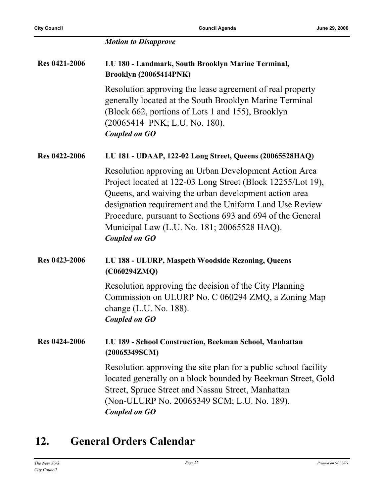|                      | <b>Motion to Disapprove</b>                                                                                                                                                                                                                                                                                                                                                   |
|----------------------|-------------------------------------------------------------------------------------------------------------------------------------------------------------------------------------------------------------------------------------------------------------------------------------------------------------------------------------------------------------------------------|
| <b>Res 0421-2006</b> | LU 180 - Landmark, South Brooklyn Marine Terminal,<br><b>Brooklyn (20065414PNK)</b>                                                                                                                                                                                                                                                                                           |
|                      | Resolution approving the lease agreement of real property<br>generally located at the South Brooklyn Marine Terminal<br>(Block 662, portions of Lots 1 and 155), Brooklyn<br>(20065414 PNK; L.U. No. 180).<br><b>Coupled on GO</b>                                                                                                                                            |
| <b>Res 0422-2006</b> | LU 181 - UDAAP, 122-02 Long Street, Queens (20065528HAQ)                                                                                                                                                                                                                                                                                                                      |
|                      | Resolution approving an Urban Development Action Area<br>Project located at 122-03 Long Street (Block 12255/Lot 19),<br>Queens, and waiving the urban development action area<br>designation requirement and the Uniform Land Use Review<br>Procedure, pursuant to Sections 693 and 694 of the General<br>Municipal Law (L.U. No. 181; 20065528 HAQ).<br><b>Coupled on GO</b> |
| <b>Res 0423-2006</b> | LU 188 - ULURP, Maspeth Woodside Rezoning, Queens<br>(C060294ZMQ)                                                                                                                                                                                                                                                                                                             |
|                      | Resolution approving the decision of the City Planning<br>Commission on ULURP No. C 060294 ZMQ, a Zoning Map<br>change $(L.U. No. 188)$ .<br><b>Coupled on GO</b>                                                                                                                                                                                                             |
| <b>Res 0424-2006</b> | LU 189 - School Construction, Beekman School, Manhattan<br>(20065349SCM)                                                                                                                                                                                                                                                                                                      |
|                      | Resolution approving the site plan for a public school facility<br>located generally on a block bounded by Beekman Street, Gold<br>Street, Spruce Street and Nassau Street, Manhattan<br>(Non-ULURP No. 20065349 SCM; L.U. No. 189).<br><b>Coupled on GO</b>                                                                                                                  |

## **12. General Orders Calendar**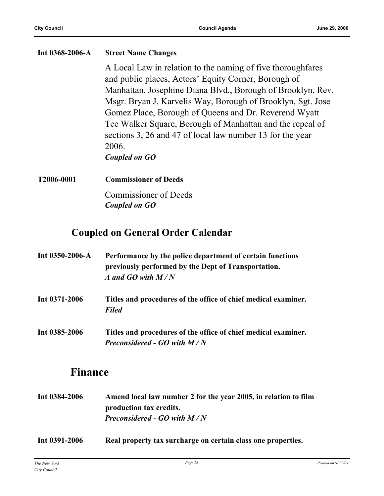| Int 0368-2006-A | <b>Street Name Changes</b>                                  |
|-----------------|-------------------------------------------------------------|
|                 | A Local Law in relation to the naming of five thoroughfares |
|                 | and public places, Actors' Equity Corner, Borough of        |
|                 | Manhattan, Josephine Diana Blvd., Borough of Brooklyn, Rev. |
|                 | Msgr. Bryan J. Karvelis Way, Borough of Brooklyn, Sgt. Jose |
|                 | Gomez Place, Borough of Queens and Dr. Reverend Wyatt       |
|                 | Tee Walker Square, Borough of Manhattan and the repeal of   |
|                 | sections 3, 26 and 47 of local law number 13 for the year   |
|                 | 2006.                                                       |
|                 | Coupled on GO                                               |
| T2006-0001      | <b>Commissioner of Deeds</b>                                |
|                 | <b>Commissioner of Deeds</b>                                |
|                 | Coupled on GO                                               |

## **Coupled on General Order Calendar**

| Int $0350 - 2006 - A$ | Performance by the police department of certain functions<br>previously performed by the Dept of Transportation.<br>A and GO with $M/N$ |
|-----------------------|-----------------------------------------------------------------------------------------------------------------------------------------|
| Int $0371 - 2006$     | Titles and procedures of the office of chief medical examiner.<br><b>Filed</b>                                                          |
| Int 0385-2006         | Titles and procedures of the office of chief medical examiner.<br><b>Preconsidered - GO with <math>M/N</math></b>                       |

## **Finance**

- **Int 0384-2006 Amend local law number 2 for the year 2005, in relation to film production tax credits.** *Preconsidered - GO with M / N*
- **Int 0391-2006 Real property tax surcharge on certain class one properties.**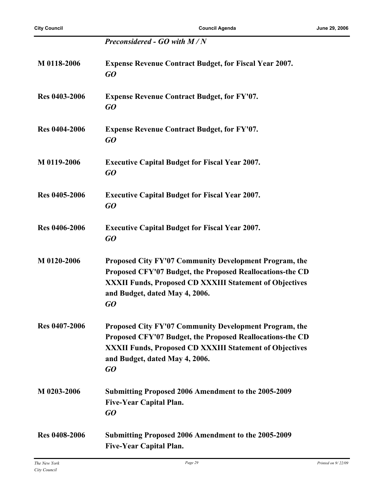|                      | Preconsidered - GO with M/N                                                                                                                                                                                                   |
|----------------------|-------------------------------------------------------------------------------------------------------------------------------------------------------------------------------------------------------------------------------|
| M 0118-2006          | <b>Expense Revenue Contract Budget, for Fiscal Year 2007.</b><br>GO                                                                                                                                                           |
| <b>Res 0403-2006</b> | <b>Expense Revenue Contract Budget, for FY'07.</b><br>GQ                                                                                                                                                                      |
| <b>Res 0404-2006</b> | <b>Expense Revenue Contract Budget, for FY'07.</b><br>GQ                                                                                                                                                                      |
| M 0119-2006          | <b>Executive Capital Budget for Fiscal Year 2007.</b><br>GO                                                                                                                                                                   |
| <b>Res 0405-2006</b> | <b>Executive Capital Budget for Fiscal Year 2007.</b><br>GQ                                                                                                                                                                   |
| <b>Res 0406-2006</b> | <b>Executive Capital Budget for Fiscal Year 2007.</b><br>GQ                                                                                                                                                                   |
| M 0120-2006          | Proposed City FY'07 Community Development Program, the<br>Proposed CFY'07 Budget, the Proposed Reallocations-the CD<br><b>XXXII Funds, Proposed CD XXXIII Statement of Objectives</b><br>and Budget, dated May 4, 2006.<br>GO |
| <b>Res 0407-2006</b> | Proposed City FY'07 Community Development Program, the<br>Proposed CFY'07 Budget, the Proposed Reallocations-the CD<br><b>XXXII Funds, Proposed CD XXXIII Statement of Objectives</b><br>and Budget, dated May 4, 2006.<br>GO |
| M 0203-2006          | <b>Submitting Proposed 2006 Amendment to the 2005-2009</b><br><b>Five-Year Capital Plan.</b><br>GO                                                                                                                            |
| <b>Res 0408-2006</b> | Submitting Proposed 2006 Amendment to the 2005-2009<br><b>Five-Year Capital Plan.</b>                                                                                                                                         |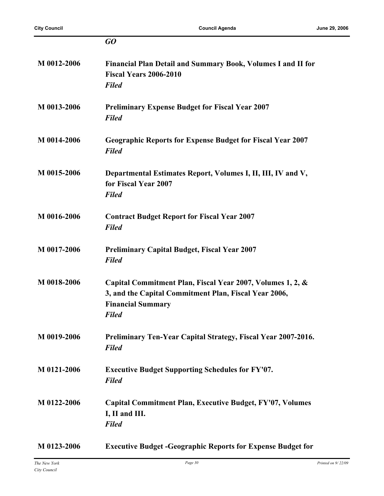|             | GO                                                                                                                                                              |
|-------------|-----------------------------------------------------------------------------------------------------------------------------------------------------------------|
| M 0012-2006 | Financial Plan Detail and Summary Book, Volumes I and II for<br><b>Fiscal Years 2006-2010</b><br><b>Filed</b>                                                   |
| M 0013-2006 | <b>Preliminary Expense Budget for Fiscal Year 2007</b><br><b>Filed</b>                                                                                          |
| M 0014-2006 | <b>Geographic Reports for Expense Budget for Fiscal Year 2007</b><br><b>Filed</b>                                                                               |
| M 0015-2006 | Departmental Estimates Report, Volumes I, II, III, IV and V,<br>for Fiscal Year 2007<br><b>Filed</b>                                                            |
| M 0016-2006 | <b>Contract Budget Report for Fiscal Year 2007</b><br><b>Filed</b>                                                                                              |
| M 0017-2006 | <b>Preliminary Capital Budget, Fiscal Year 2007</b><br><b>Filed</b>                                                                                             |
| M 0018-2006 | Capital Commitment Plan, Fiscal Year 2007, Volumes 1, 2, &<br>3, and the Capital Commitment Plan, Fiscal Year 2006,<br><b>Financial Summary</b><br><b>Filed</b> |
| M 0019-2006 | <b>Preliminary Ten-Year Capital Strategy, Fiscal Year 2007-2016.</b><br><b>Filed</b>                                                                            |
| M 0121-2006 | <b>Executive Budget Supporting Schedules for FY'07.</b><br><b>Filed</b>                                                                                         |
| M 0122-2006 | <b>Capital Commitment Plan, Executive Budget, FY'07, Volumes</b><br>I, II and III.<br><b>Filed</b>                                                              |
| M 0123-2006 | <b>Executive Budget -Geographic Reports for Expense Budget for</b>                                                                                              |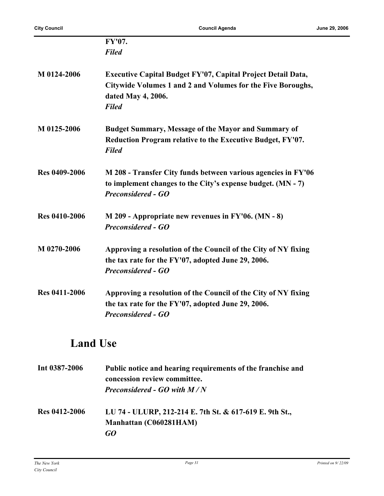|                      | FY'07.                                                                                                                                                                   |
|----------------------|--------------------------------------------------------------------------------------------------------------------------------------------------------------------------|
|                      | <b>Filed</b>                                                                                                                                                             |
| M 0124-2006          | <b>Executive Capital Budget FY'07, Capital Project Detail Data,</b><br>Citywide Volumes 1 and 2 and Volumes for the Five Boroughs,<br>dated May 4, 2006.<br><b>Filed</b> |
| M 0125-2006          | <b>Budget Summary, Message of the Mayor and Summary of</b><br>Reduction Program relative to the Executive Budget, FY'07.<br><b>Filed</b>                                 |
| <b>Res 0409-2006</b> | M 208 - Transfer City funds between various agencies in FY'06<br>to implement changes to the City's expense budget. (MN - 7)<br><b>Preconsidered - GO</b>                |
| <b>Res 0410-2006</b> | $M$ 209 - Appropriate new revenues in FY'06. (MN - 8)<br><b>Preconsidered - GO</b>                                                                                       |
| M 0270-2006          | Approving a resolution of the Council of the City of NY fixing<br>the tax rate for the FY'07, adopted June 29, 2006.<br><b>Preconsidered - GO</b>                        |
| <b>Res 0411-2006</b> | Approving a resolution of the Council of the City of NY fixing<br>the tax rate for the FY'07, adopted June 29, 2006.<br><b>Preconsidered - GO</b>                        |

## **Land Use**

| Int 0387-2006        | Public notice and hearing requirements of the franchise and<br>concession review committee.<br><b>Preconsidered - GO with <math>M/N</math></b> |
|----------------------|------------------------------------------------------------------------------------------------------------------------------------------------|
| <b>Res 0412-2006</b> | LU 74 - ULURP, 212-214 E. 7th St. & 617-619 E. 9th St.,<br>Manhattan (C060281HAM)<br>GO                                                        |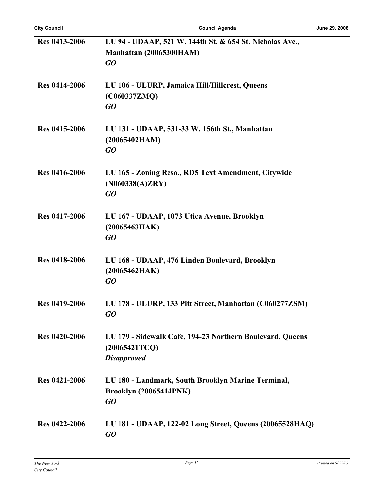| <b>Res 0413-2006</b> | LU 94 - UDAAP, 521 W. 144th St. & 654 St. Nicholas Ave.,  |
|----------------------|-----------------------------------------------------------|
|                      | Manhattan (20065300HAM)                                   |
|                      | GO                                                        |
|                      |                                                           |
| <b>Res 0414-2006</b> |                                                           |
|                      | LU 106 - ULURP, Jamaica Hill/Hillcrest, Queens            |
|                      | (C060337ZMQ)                                              |
|                      | GQ                                                        |
| Res 0415-2006        |                                                           |
|                      | LU 131 - UDAAP, 531-33 W. 156th St., Manhattan            |
|                      | (20065402HAM)                                             |
|                      | GO                                                        |
| Res 0416-2006        | LU 165 - Zoning Reso., RD5 Text Amendment, Citywide       |
|                      |                                                           |
|                      | (N060338(A)ZRY)                                           |
|                      | GQ                                                        |
| <b>Res 0417-2006</b> | LU 167 - UDAAP, 1073 Utica Avenue, Brooklyn               |
|                      | (20065463HAK)                                             |
|                      | GQ                                                        |
|                      |                                                           |
| <b>Res 0418-2006</b> | LU 168 - UDAAP, 476 Linden Boulevard, Brooklyn            |
|                      | (20065462HAK)                                             |
|                      | GQ                                                        |
|                      |                                                           |
| <b>Res 0419-2006</b> | LU 178 - ULURP, 133 Pitt Street, Manhattan (C060277ZSM)   |
|                      | GO                                                        |
|                      |                                                           |
| <b>Res 0420-2006</b> | LU 179 - Sidewalk Cafe, 194-23 Northern Boulevard, Queens |
|                      | (20065421TCQ)                                             |
|                      | <b>Disapproved</b>                                        |
|                      |                                                           |
| <b>Res 0421-2006</b> | LU 180 - Landmark, South Brooklyn Marine Terminal,        |
|                      | <b>Brooklyn (20065414PNK)</b>                             |
|                      | GO                                                        |
|                      |                                                           |
| <b>Res 0422-2006</b> | LU 181 - UDAAP, 122-02 Long Street, Queens (20065528HAQ)  |
|                      | GO                                                        |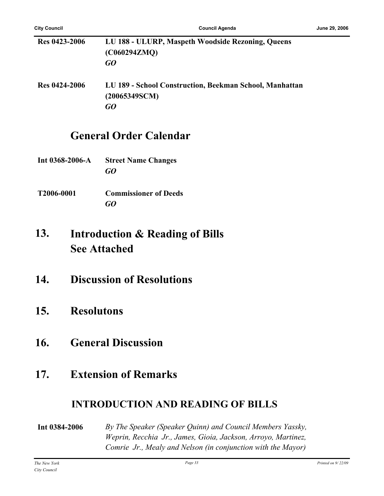| <b>Res 0423-2006</b> | LU 188 - ULURP, Maspeth Woodside Rezoning, Queens<br>(C060294ZMQ)<br>GO        |
|----------------------|--------------------------------------------------------------------------------|
| <b>Res 0424-2006</b> | LU 189 - School Construction, Beekman School, Manhattan<br>(20065349SCM)<br>GO |

## **General Order Calendar**

- **Int 0368-2006-A Street Name Changes** *GO*
- **T2006-0001 Commissioner of Deeds** *GO*

#### **Introduction & Reading of Bills See Attached 13.**

- **14. Discussion of Resolutions**
- **15. Resolutons**
- **16. General Discussion**

## **17. Extension of Remarks**

#### **INTRODUCTION AND READING OF BILLS**

**Int 0384-2006** *By The Speaker (Speaker Quinn) and Council Members Yassky, Weprin, Recchia Jr., James, Gioia, Jackson, Arroyo, Martinez, Comrie Jr., Mealy and Nelson (in conjunction with the Mayor)*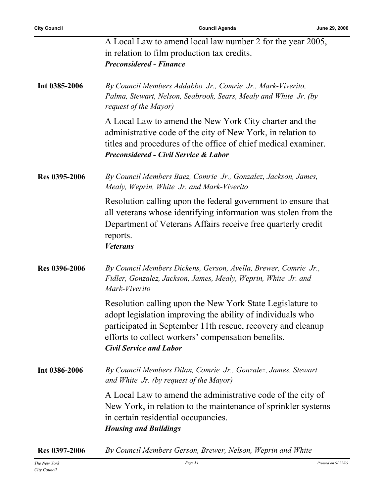|               | A Local Law to amend local law number 2 for the year 2005,<br>in relation to film production tax credits.<br><b>Preconsidered - Finance</b>                                                                                                                                    |
|---------------|--------------------------------------------------------------------------------------------------------------------------------------------------------------------------------------------------------------------------------------------------------------------------------|
| Int 0385-2006 | By Council Members Addabbo Jr., Comrie Jr., Mark-Viverito,<br>Palma, Stewart, Nelson, Seabrook, Sears, Mealy and White Jr. (by<br>request of the Mayor)                                                                                                                        |
|               | A Local Law to amend the New York City charter and the<br>administrative code of the city of New York, in relation to<br>titles and procedures of the office of chief medical examiner.<br><b>Preconsidered - Civil Service &amp; Labor</b>                                    |
| Res 0395-2006 | By Council Members Baez, Comrie Jr., Gonzalez, Jackson, James,<br>Mealy, Weprin, White Jr. and Mark-Viverito                                                                                                                                                                   |
|               | Resolution calling upon the federal government to ensure that<br>all veterans whose identifying information was stolen from the<br>Department of Veterans Affairs receive free quarterly credit<br>reports.<br><b>Veterans</b>                                                 |
| Res 0396-2006 | By Council Members Dickens, Gerson, Avella, Brewer, Comrie Jr.,<br>Fidler, Gonzalez, Jackson, James, Mealy, Weprin, White Jr. and<br>Mark-Viverito                                                                                                                             |
|               | Resolution calling upon the New York State Legislature to<br>adopt legislation improving the ability of individuals who<br>participated in September 11th rescue, recovery and cleanup<br>efforts to collect workers' compensation benefits.<br><b>Civil Service and Labor</b> |
| Int 0386-2006 | By Council Members Dilan, Comrie Jr., Gonzalez, James, Stewart<br>and White Jr. (by request of the Mayor)                                                                                                                                                                      |
|               | A Local Law to amend the administrative code of the city of<br>New York, in relation to the maintenance of sprinkler systems<br>in certain residential occupancies.<br><b>Housing and Buildings</b>                                                                            |
| Res 0397-2006 | By Council Members Gerson, Brewer, Nelson, Weprin and White                                                                                                                                                                                                                    |

*City Council*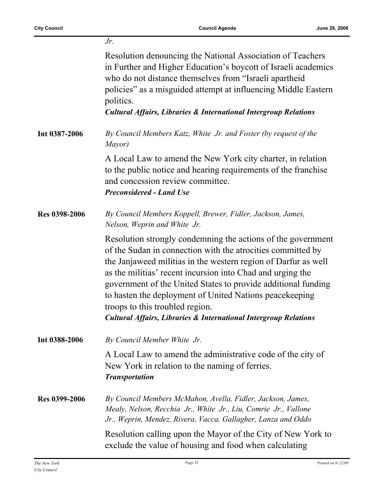|                      | $Jr$ .                                                                                                                                                                                                                                                                                                                                                                                                                                                                                                     |
|----------------------|------------------------------------------------------------------------------------------------------------------------------------------------------------------------------------------------------------------------------------------------------------------------------------------------------------------------------------------------------------------------------------------------------------------------------------------------------------------------------------------------------------|
|                      | Resolution denouncing the National Association of Teachers<br>in Further and Higher Education's boycott of Israeli academics<br>who do not distance themselves from "Israeli apartheid"<br>policies" as a misguided attempt at influencing Middle Eastern<br>politics.<br><b>Cultural Affairs, Libraries &amp; International Intergroup Relations</b>                                                                                                                                                      |
| Int 0387-2006        | By Council Members Katz, White Jr. and Foster (by request of the<br>Mayor)                                                                                                                                                                                                                                                                                                                                                                                                                                 |
|                      | A Local Law to amend the New York city charter, in relation<br>to the public notice and hearing requirements of the franchise<br>and concession review committee.<br><b>Preconsidered - Land Use</b>                                                                                                                                                                                                                                                                                                       |
| Res 0398-2006        | By Council Members Koppell, Brewer, Fidler, Jackson, James,<br>Nelson, Weprin and White Jr.                                                                                                                                                                                                                                                                                                                                                                                                                |
|                      | Resolution strongly condemning the actions of the government<br>of the Sudan in connection with the atrocities committed by<br>the Janjaweed militias in the western region of Darfur as well<br>as the militias' recent incursion into Chad and urging the<br>government of the United States to provide additional funding<br>to hasten the deployment of United Nations peace keeping<br>troops to this troubled region.<br><b>Cultural Affairs, Libraries &amp; International Intergroup Relations</b> |
| Int 0388-2006        | By Council Member White Jr.                                                                                                                                                                                                                                                                                                                                                                                                                                                                                |
|                      | A Local Law to amend the administrative code of the city of<br>New York in relation to the naming of ferries.<br><b>Transportation</b>                                                                                                                                                                                                                                                                                                                                                                     |
| <b>Res 0399-2006</b> | By Council Members McMahon, Avella, Fidler, Jackson, James,<br>Mealy, Nelson, Recchia Jr., White Jr., Liu, Comrie Jr., Vallone<br>Jr., Weprin, Mendez, Rivera, Vacca, Gallagher, Lanza and Oddo                                                                                                                                                                                                                                                                                                            |
|                      | Resolution calling upon the Mayor of the City of New York to<br>exclude the value of housing and food when calculating                                                                                                                                                                                                                                                                                                                                                                                     |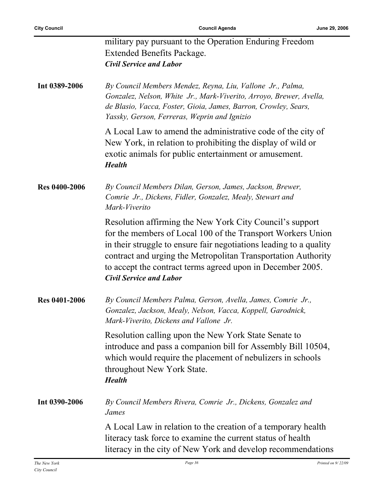|                      | military pay pursuant to the Operation Enduring Freedom<br><b>Extended Benefits Package.</b><br><b>Civil Service and Labor</b>                                                                                                                                                                                                                                 |
|----------------------|----------------------------------------------------------------------------------------------------------------------------------------------------------------------------------------------------------------------------------------------------------------------------------------------------------------------------------------------------------------|
| Int 0389-2006        | By Council Members Mendez, Reyna, Liu, Vallone Jr., Palma,<br>Gonzalez, Nelson, White Jr., Mark-Viverito, Arroyo, Brewer, Avella,<br>de Blasio, Vacca, Foster, Gioia, James, Barron, Crowley, Sears,<br>Yassky, Gerson, Ferreras, Weprin and Ignizio                                                                                                           |
|                      | A Local Law to amend the administrative code of the city of<br>New York, in relation to prohibiting the display of wild or<br>exotic animals for public entertainment or amusement.<br><b>Health</b>                                                                                                                                                           |
| <b>Res 0400-2006</b> | By Council Members Dilan, Gerson, James, Jackson, Brewer,<br>Comrie Jr., Dickens, Fidler, Gonzalez, Mealy, Stewart and<br>Mark-Viverito                                                                                                                                                                                                                        |
|                      | Resolution affirming the New York City Council's support<br>for the members of Local 100 of the Transport Workers Union<br>in their struggle to ensure fair negotiations leading to a quality<br>contract and urging the Metropolitan Transportation Authority<br>to accept the contract terms agreed upon in December 2005.<br><b>Civil Service and Labor</b> |
| <b>Res 0401-2006</b> | By Council Members Palma, Gerson, Avella, James, Comrie Jr.,<br>Gonzalez, Jackson, Mealy, Nelson, Vacca, Koppell, Garodnick,<br>Mark-Viverito, Dickens and Vallone Jr.                                                                                                                                                                                         |
|                      | Resolution calling upon the New York State Senate to<br>introduce and pass a companion bill for Assembly Bill 10504,<br>which would require the placement of nebulizers in schools<br>throughout New York State.<br><b>Health</b>                                                                                                                              |
| Int 0390-2006        | By Council Members Rivera, Comrie Jr., Dickens, Gonzalez and<br>James                                                                                                                                                                                                                                                                                          |
|                      | A Local Law in relation to the creation of a temporary health<br>literacy task force to examine the current status of health<br>literacy in the city of New York and develop recommendations                                                                                                                                                                   |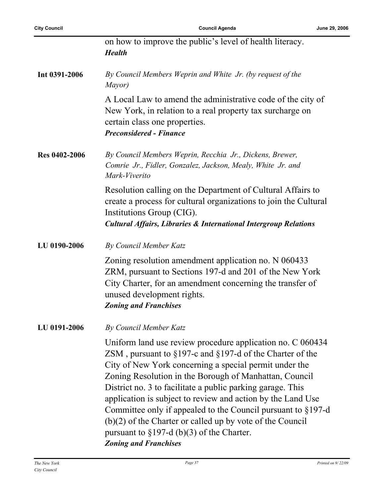| <b>City Council</b>  | <b>Council Agenda</b><br>June 2                                                                                                                                                                                                                                                                                                                                                                                                                                                                                                                                   |
|----------------------|-------------------------------------------------------------------------------------------------------------------------------------------------------------------------------------------------------------------------------------------------------------------------------------------------------------------------------------------------------------------------------------------------------------------------------------------------------------------------------------------------------------------------------------------------------------------|
|                      | on how to improve the public's level of health literacy.<br><b>Health</b>                                                                                                                                                                                                                                                                                                                                                                                                                                                                                         |
| Int 0391-2006        | By Council Members Weprin and White Jr. (by request of the<br>Mayor)                                                                                                                                                                                                                                                                                                                                                                                                                                                                                              |
|                      | A Local Law to amend the administrative code of the city of<br>New York, in relation to a real property tax surcharge on<br>certain class one properties.<br><b>Preconsidered - Finance</b>                                                                                                                                                                                                                                                                                                                                                                       |
| <b>Res 0402-2006</b> | By Council Members Weprin, Recchia Jr., Dickens, Brewer,<br>Comrie Jr., Fidler, Gonzalez, Jackson, Mealy, White Jr. and<br>Mark-Viverito                                                                                                                                                                                                                                                                                                                                                                                                                          |
|                      | Resolution calling on the Department of Cultural Affairs to<br>create a process for cultural organizations to join the Cultural<br>Institutions Group (CIG).<br><b>Cultural Affairs, Libraries &amp; International Intergroup Relations</b>                                                                                                                                                                                                                                                                                                                       |
| LU 0190-2006         | By Council Member Katz                                                                                                                                                                                                                                                                                                                                                                                                                                                                                                                                            |
|                      | Zoning resolution amendment application no. N 060433<br>ZRM, pursuant to Sections 197-d and 201 of the New York<br>City Charter, for an amendment concerning the transfer of<br>unused development rights.<br><b>Zoning and Franchises</b>                                                                                                                                                                                                                                                                                                                        |
| LU 0191-2006         | By Council Member Katz                                                                                                                                                                                                                                                                                                                                                                                                                                                                                                                                            |
|                      | Uniform land use review procedure application no. C 060434<br>ZSM, pursuant to $\S 197$ -c and $\S 197$ -d of the Charter of the<br>City of New York concerning a special permit under the<br>Zoning Resolution in the Borough of Manhattan, Council<br>District no. 3 to facilitate a public parking garage. This<br>application is subject to review and action by the Land Use<br>Committee only if appealed to the Council pursuant to §197-d<br>$(b)(2)$ of the Charter or called up by vote of the Council<br>pursuant to $\S 197-d$ (b)(3) of the Charter. |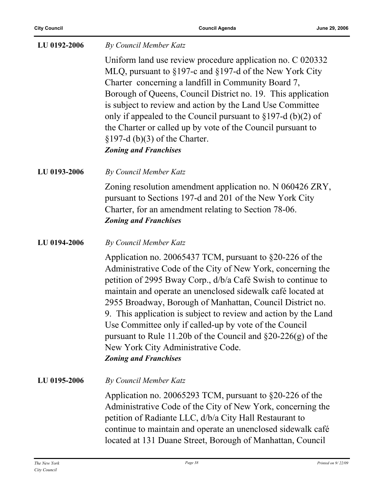| LU 0192-2006 | By Council Member Katz                                                                                                                                                                                                                                                                                                                                                                                                                                                                                                                                                                    |
|--------------|-------------------------------------------------------------------------------------------------------------------------------------------------------------------------------------------------------------------------------------------------------------------------------------------------------------------------------------------------------------------------------------------------------------------------------------------------------------------------------------------------------------------------------------------------------------------------------------------|
|              | Uniform land use review procedure application no. C 020332<br>MLQ, pursuant to §197-c and §197-d of the New York City<br>Charter concerning a landfill in Community Board 7,<br>Borough of Queens, Council District no. 19. This application<br>is subject to review and action by the Land Use Committee<br>only if appealed to the Council pursuant to $\S 197-d$ (b)(2) of<br>the Charter or called up by vote of the Council pursuant to<br>$\S 197-d$ (b)(3) of the Charter.<br><b>Zoning and Franchises</b>                                                                         |
| LU 0193-2006 | By Council Member Katz                                                                                                                                                                                                                                                                                                                                                                                                                                                                                                                                                                    |
|              | Zoning resolution amendment application no. N 060426 ZRY,<br>pursuant to Sections 197-d and 201 of the New York City<br>Charter, for an amendment relating to Section 78-06.<br><b>Zoning and Franchises</b>                                                                                                                                                                                                                                                                                                                                                                              |
| LU 0194-2006 | By Council Member Katz                                                                                                                                                                                                                                                                                                                                                                                                                                                                                                                                                                    |
|              | Application no. 20065437 TCM, pursuant to §20-226 of the<br>Administrative Code of the City of New York, concerning the<br>petition of 2995 Bway Corp., d/b/a Café Swish to continue to<br>maintain and operate an unenclosed sidewalk café located at<br>2955 Broadway, Borough of Manhattan, Council District no.<br>9. This application is subject to review and action by the Land<br>Use Committee only if called-up by vote of the Council<br>pursuant to Rule 11.20b of the Council and $\S20-226(g)$ of the<br>New York City Administrative Code.<br><b>Zoning and Franchises</b> |
| LU 0195-2006 | By Council Member Katz                                                                                                                                                                                                                                                                                                                                                                                                                                                                                                                                                                    |
|              | Application no. 20065293 TCM, pursuant to $\S20-226$ of the<br>Administrative Code of the City of New York, concerning the<br>petition of Radiante LLC, d/b/a City Hall Restaurant to<br>continue to maintain and operate an unenclosed sidewalk café<br>located at 131 Duane Street, Borough of Manhattan, Council                                                                                                                                                                                                                                                                       |